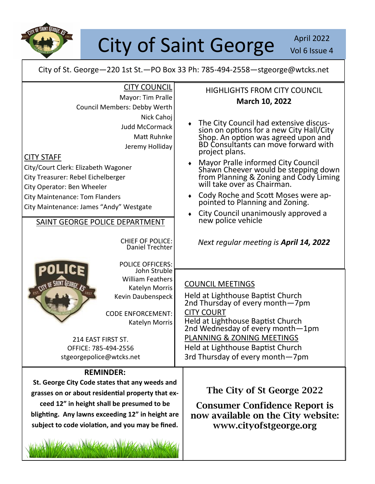

## City of Saint George Nol 6 Issue

Vol 6 Issue 4

City of St. George—220 1st St.—PO Box 33 Ph: 785-494-2558—stgeorge@wtcks.net

| St. George City Code states that any weeds and<br>grasses on or about residential property that ex-<br>ceed 12" in height shall be presumed to be<br>blighting. Any lawns exceeding 12" in height are<br>subject to code violation, and you may be fined.                                                                   | The City of St George 2022<br><b>Consumer Confidence Report is</b><br>now available on the City website:<br>www.cityofstgeorge.org                                                                                                                                                                                                                                                                                                                                                                  |
|-----------------------------------------------------------------------------------------------------------------------------------------------------------------------------------------------------------------------------------------------------------------------------------------------------------------------------|-----------------------------------------------------------------------------------------------------------------------------------------------------------------------------------------------------------------------------------------------------------------------------------------------------------------------------------------------------------------------------------------------------------------------------------------------------------------------------------------------------|
| <b>REMINDER:</b>                                                                                                                                                                                                                                                                                                            |                                                                                                                                                                                                                                                                                                                                                                                                                                                                                                     |
| 214 EAST FIRST ST.<br>OFFICE: 785-494-2556<br>stgeorgepolice@wtcks.net                                                                                                                                                                                                                                                      | PLANNING & ZONING MEETINGS<br>Held at Lighthouse Baptist Church<br>3rd Thursday of every month-7pm                                                                                                                                                                                                                                                                                                                                                                                                  |
| John Struble<br><b>William Feathers</b><br><b>SHINT GEORGE, ASS</b><br>Katelyn Morris<br>Kevin Daubenspeck<br><b>CODE ENFORCEMENT:</b><br>Katelyn Morris                                                                                                                                                                    | <b>COUNCIL MEETINGS</b><br>Held at Lighthouse Baptist Church<br>2nd Thursday of every month-7pm<br><b>CITY COURT</b><br>Held at Lighthouse Baptist Church<br>2nd Wednesday of every month-1pm                                                                                                                                                                                                                                                                                                       |
| <b>CHIEF OF POLICE:</b><br>Daniel Trechter<br><b>POLICE OFFICERS:</b>                                                                                                                                                                                                                                                       | Next regular meeting is April 14, 2022                                                                                                                                                                                                                                                                                                                                                                                                                                                              |
| Nick Cahoj<br><b>Judd McCormack</b><br>Matt Ruhnke<br>Jeremy Holliday<br><b>CITY STAFF</b><br>City/Court Clerk: Elizabeth Wagoner<br>City Treasurer: Rebel Eichelberger<br>City Operator: Ben Wheeler<br><b>City Maintenance: Tom Flanders</b><br>City Maintenance: James "Andy" Westgate<br>SAINT GEORGE POLICE DEPARTMENT | The City Council had extensive discus-<br>sion on options for a new City Hall/City<br>Shop. An option was agreed upon and<br>BD Consultants can move forward with<br>project plans.<br>Mayor Pralle informed City Council<br>Shawn Cheever would be stepping down<br>from Planning & Zoning and Cody Liming<br>will take over as Chairman.<br>Cody Roche and Scott Moses were ap-<br>٠<br>pointed to Planning and Zoning.<br>City Council unanimously approved a<br>$\bullet$<br>new police vehicle |
| <b>CITY COUNCIL</b><br>Mayor: Tim Pralle<br>Council Members: Debby Werth                                                                                                                                                                                                                                                    | <b>HIGHLIGHTS FROM CITY COUNCIL</b><br>March 10, 2022                                                                                                                                                                                                                                                                                                                                                                                                                                               |